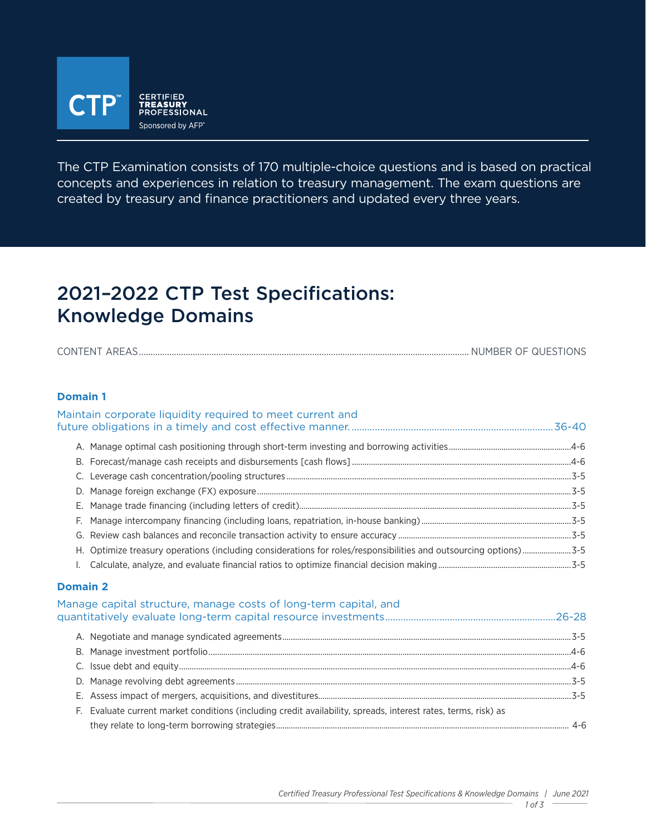

The CTP Examination consists of 170 multiple-choice questions and is based on practical concepts and experiences in relation to treasury management. The exam questions are created by treasury and finance practitioners and updated every three years.

# 2021–2022 CTP Test Specifications: Knowledge Domains

| <b>CONT</b> | .<br>NE |
|-------------|---------|
|             |         |

#### **Domain 1**

### Maintain corporate liquidity required to meet current and future obligations in a timely and cost effective manner. ..............................................................................36-40 A. Manage optimal cash positioning through short-term investing and borrowing activities..........................................................4-6 B. Forecast/manage cash receipts and disbursements [cash flows]........................................................................................................4-6 C. Leverage cash concentration/pooling structures .......................................................................................................................................3-5 D. Manage foreign exchange (FX) exposure.....................................................................................................................................................3-5 E. Manage trade financing (including letters of credit).................................................................................................................................3-5 F. Manage intercompany financing (including loans, repatriation, in-house banking).......................................................................3-5 G. Review cash balances and reconcile transaction activity to ensure accuracy ..................................................................................3-5 H. Optimize treasury operations (including considerations for roles/responsibilities and outsourcing options).......................3-5 I. Calculate, analyze, and evaluate financial ratios to optimize financial decision making...............................................................3-5 **Domain 2** Manage capital structure, manage costs of long-term capital, and quantitatively evaluate long-term capital resource investments..................................................................26-28 A. Negotiate and manage syndicated agreements.........................................................................................................................................3-5 B. Manage investment portfolio............................................................................................................................................................................4-6 C. Issue debt and equity..........................................................................................................................................................................................4-6

D. Manage revolving debt agreements ...............................................................................................................................................................3-5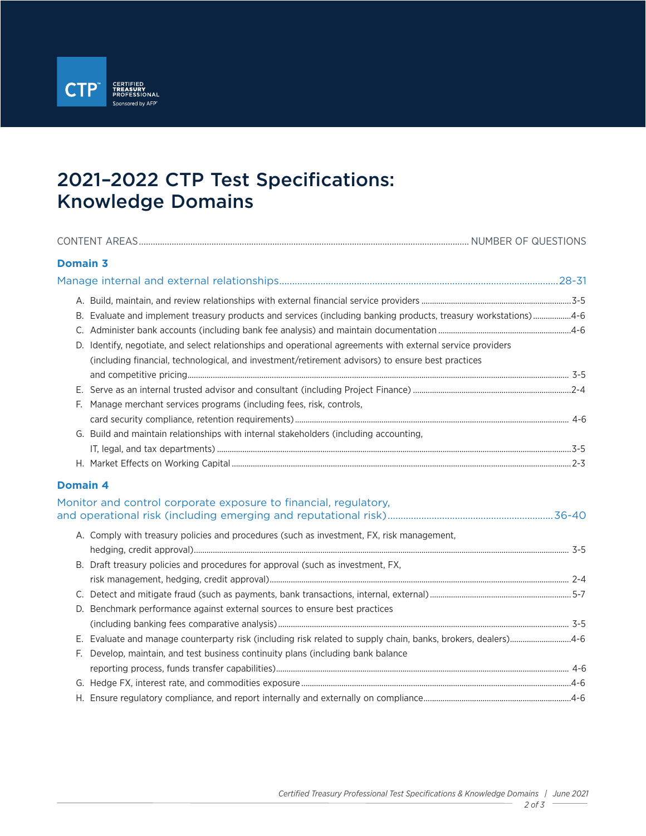

# 2021–2022 CTP Test Specifications: Knowledge Domains

| <b>Domain 3</b>                                                                                                                                                                                                                                                                                                                                                                                                 |  |
|-----------------------------------------------------------------------------------------------------------------------------------------------------------------------------------------------------------------------------------------------------------------------------------------------------------------------------------------------------------------------------------------------------------------|--|
|                                                                                                                                                                                                                                                                                                                                                                                                                 |  |
| B. Evaluate and implement treasury products and services (including banking products, treasury workstations)4-6<br>D. Identify, negotiate, and select relationships and operational agreements with external service providers<br>(including financial, technological, and investment/retirement advisors) to ensure best practices<br>Manage merchant services programs (including fees, risk, controls,<br>F. |  |
| G. Build and maintain relationships with internal stakeholders (including accounting,                                                                                                                                                                                                                                                                                                                           |  |
| <b>Domain 4</b>                                                                                                                                                                                                                                                                                                                                                                                                 |  |
| Monitor and control corporate exposure to financial, regulatory,                                                                                                                                                                                                                                                                                                                                                |  |
| A. Comply with treasury policies and procedures (such as investment, FX, risk management,<br>B. Draft treasury policies and procedures for approval (such as investment, FX,                                                                                                                                                                                                                                    |  |
|                                                                                                                                                                                                                                                                                                                                                                                                                 |  |
| D. Benchmark performance against external sources to ensure best practices                                                                                                                                                                                                                                                                                                                                      |  |
|                                                                                                                                                                                                                                                                                                                                                                                                                 |  |
| E. Evaluate and manage counterparty risk (including risk related to supply chain, banks, brokers, dealers)4-6<br>Develop, maintain, and test business continuity plans (including bank balance<br>E.                                                                                                                                                                                                            |  |
|                                                                                                                                                                                                                                                                                                                                                                                                                 |  |
|                                                                                                                                                                                                                                                                                                                                                                                                                 |  |

H. Ensure regulatory compliance, and report internally and externally on compliance......................................................................4-6